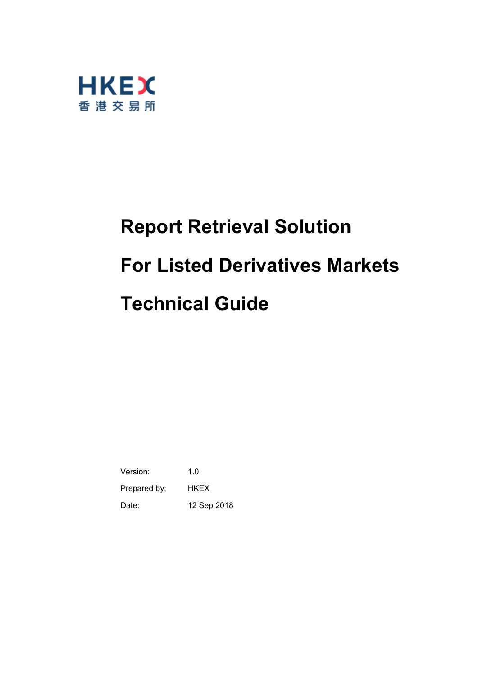

# **Report Retrieval Solution For Listed Derivatives Markets Technical Guide**

Version: 1.0 Prepared by: HKEX Date: 12 Sep 2018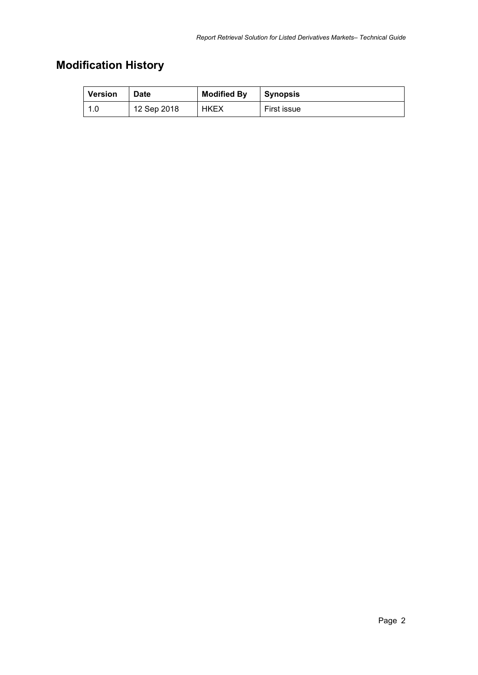# **Modification History**

| <b>Version</b> | Date        | <b>Modified By</b> | <b>Synopsis</b> |
|----------------|-------------|--------------------|-----------------|
| _1 በ           | 12 Sep 2018 | <b>HKEX</b>        | First issue     |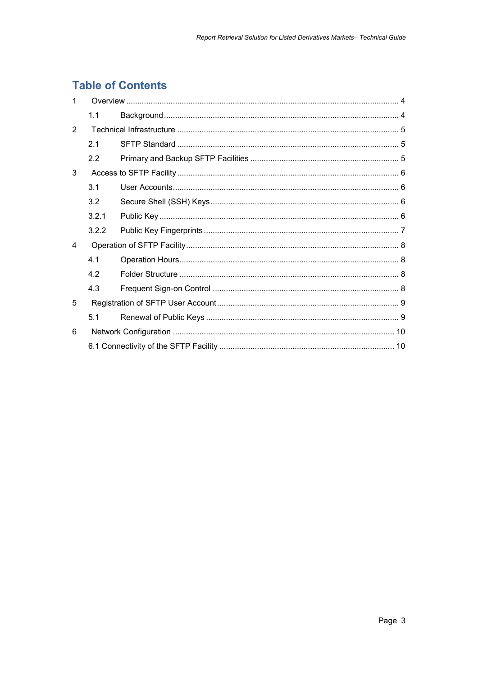# **Table of Contents**

| $\mathbf 1$    |       |  |  |
|----------------|-------|--|--|
|                | 1.1   |  |  |
| 2              |       |  |  |
|                | 2.1   |  |  |
|                | 2.2   |  |  |
| 3              |       |  |  |
|                | 3.1   |  |  |
|                | 3.2   |  |  |
|                | 3.2.1 |  |  |
|                | 3.2.2 |  |  |
| $\overline{a}$ |       |  |  |
|                | 4.1   |  |  |
|                | 4.2   |  |  |
|                | 4.3   |  |  |
| 5              |       |  |  |
|                | 5.1   |  |  |
| 6              |       |  |  |
|                |       |  |  |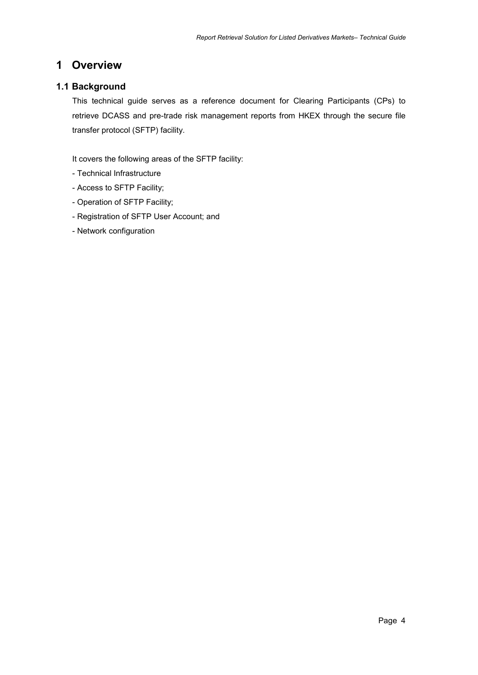# <span id="page-3-0"></span>**1 Overview**

## <span id="page-3-1"></span>**1.1 Background**

This technical guide serves as a reference document for Clearing Participants (CPs) to retrieve DCASS and pre-trade risk management reports from HKEX through the secure file transfer protocol (SFTP) facility.

It covers the following areas of the SFTP facility:

- Technical Infrastructure
- Access to SFTP Facility;
- Operation of SFTP Facility;
- Registration of SFTP User Account; and
- Network configuration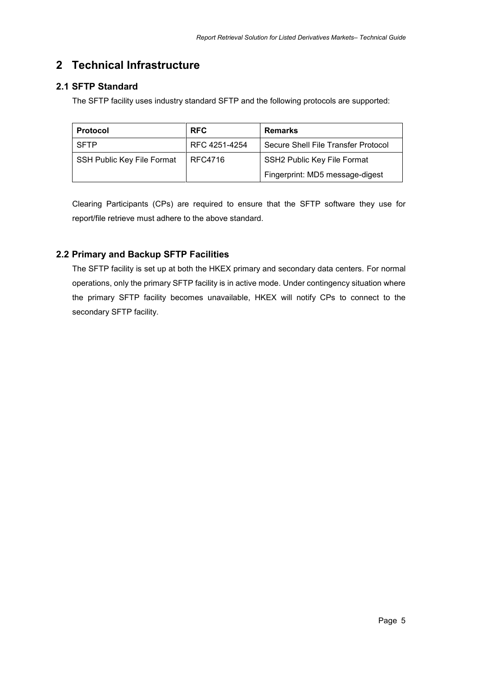# <span id="page-4-0"></span>**2 Technical Infrastructure**

# <span id="page-4-1"></span>**2.1 SFTP Standard**

The SFTP facility uses industry standard SFTP and the following protocols are supported:

| <b>Protocol</b>                   | <b>RFC</b>    | <b>Remarks</b>                      |
|-----------------------------------|---------------|-------------------------------------|
| SFTP                              | RFC 4251-4254 | Secure Shell File Transfer Protocol |
| <b>SSH Public Key File Format</b> | RFC4716       | SSH2 Public Key File Format         |
|                                   |               | Fingerprint: MD5 message-digest     |

Clearing Participants (CPs) are required to ensure that the SFTP software they use for report/file retrieve must adhere to the above standard.

## <span id="page-4-2"></span>**2.2 Primary and Backup SFTP Facilities**

The SFTP facility is set up at both the HKEX primary and secondary data centers. For normal operations, only the primary SFTP facility is in active mode. Under contingency situation where the primary SFTP facility becomes unavailable, HKEX will notify CPs to connect to the secondary SFTP facility.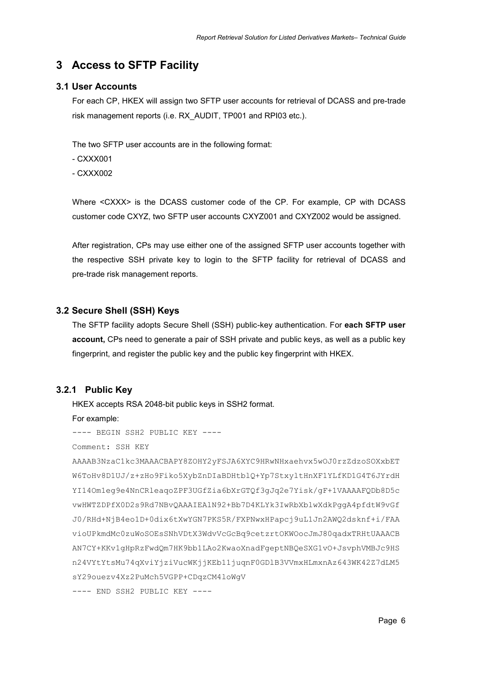# <span id="page-5-0"></span>**3 Access to SFTP Facility**

#### <span id="page-5-1"></span>**3.1 User Accounts**

For each CP, HKEX will assign two SFTP user accounts for retrieval of DCASS and pre-trade risk management reports (i.e. RX\_AUDIT, TP001 and RPI03 etc.).

The two SFTP user accounts are in the following format:

- CXXX001

- CXXX002

Where <CXXX> is the DCASS customer code of the CP. For example, CP with DCASS customer code CXYZ, two SFTP user accounts CXYZ001 and CXYZ002 would be assigned.

After registration, CPs may use either one of the assigned SFTP user accounts together with the respective SSH private key to login to the SFTP facility for retrieval of DCASS and pre-trade risk management reports.

#### <span id="page-5-2"></span>**3.2 Secure Shell (SSH) Keys**

The SFTP facility adopts Secure Shell (SSH) public-key authentication. For **each SFTP user account,** CPs need to generate a pair of SSH private and public keys, as well as a public key fingerprint, and register the public key and the public key fingerprint with HKEX.

#### <span id="page-5-3"></span>**3.2.1 Public Key**

HKEX accepts RSA 2048-bit public keys in SSH2 format.

For example:

---- BEGIN SSH2 PUBLIC KEY ----

Comment: SSH KEY

AAAAB3NzaC1kc3MAAACBAPY8ZOHY2yFSJA6XYC9HRwNHxaehvx5wOJ0rzZdzoSOXxbET W6ToHv8D1UJ/z+zHo9Fiko5XybZnDIaBDHtblQ+Yp7StxyltHnXF1YLfKD1G4T6JYrdH YI14Om1eg9e4NnCRleaqoZPF3UGfZia6bXrGTQf3gJq2e7Yisk/gF+1VAAAAFQDb8D5c vwHWTZDPfX0D2s9Rd7NBvQAAAIEAlN92+Bb7D4KLYk3IwRbXblwXdkPggA4pfdtW9vGf J0/RHd+NjB4eo1D+0dix6tXwYGN7PKS5R/FXPNwxHPapcj9uL1Jn2AWQ2dsknf+i/FAA vioUPkmdMc0zuWoSOEsSNhVDtX3WdvVcGcBq9cetzrtOKWOocJmJ80qadxTRHtUAAACB AN7CY+KKv1gHpRzFwdQm7HK9bb1LAo2KwaoXnadFgeptNBQeSXG1vO+JsvphVMBJc9HS n24VYtYtsMu74qXviYjziVucWKjjKEb11juqnF0GDlB3VVmxHLmxnAz643WK42Z7dLM5 sY29ouezv4Xz2PuMch5VGPP+CDqzCM4loWgV ---- END SSH2 PUBLIC KEY ----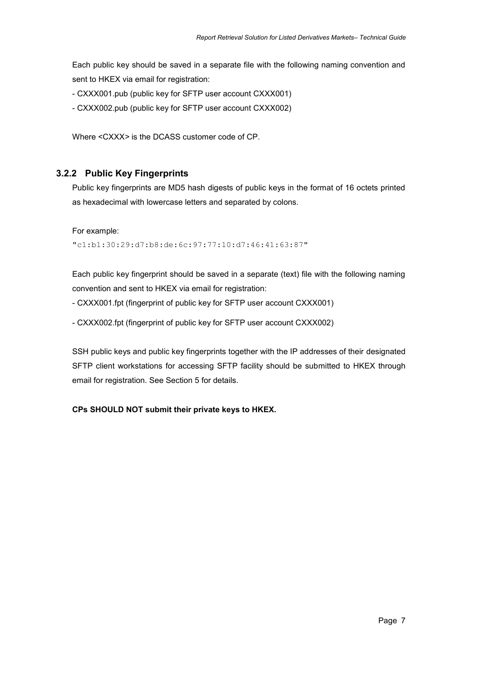Each public key should be saved in a separate file with the following naming convention and sent to HKEX via email for registration:

- CXXX001.pub (public key for SFTP user account CXXX001)
- CXXX002.pub (public key for SFTP user account CXXX002)

Where <CXXX*>* is the DCASS customer code of CP.

### <span id="page-6-0"></span>**3.2.2 Public Key Fingerprints**

Public key fingerprints are MD5 hash digests of public keys in the format of 16 octets printed as hexadecimal with lowercase letters and separated by colons.

For example:

"c1:b1:30:29:d7:b8:de:6c:97:77:10:d7:46:41:63:87"

Each public key fingerprint should be saved in a separate (text) file with the following naming convention and sent to HKEX via email for registration:

- CXXX001.fpt (fingerprint of public key for SFTP user account CXXX001)

- CXXX002.fpt (fingerprint of public key for SFTP user account CXXX002)

SSH public keys and public key fingerprints together with the IP addresses of their designated SFTP client workstations for accessing SFTP facility should be submitted to HKEX through email for registration. See Section 5 for details.

**CPs SHOULD NOT submit their private keys to HKEX.**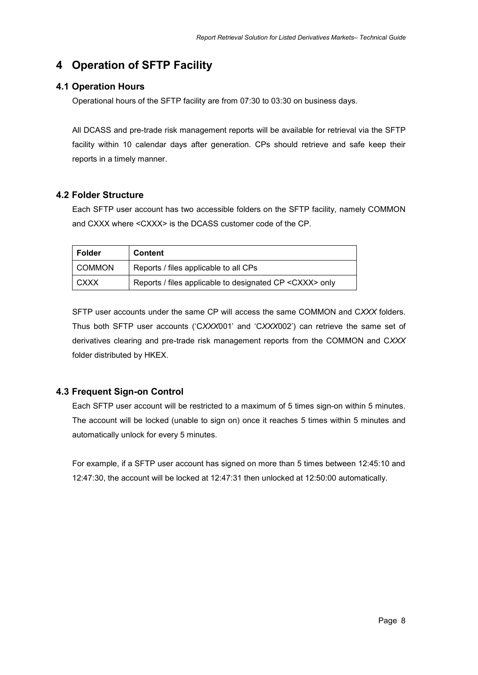# <span id="page-7-0"></span>**4 Operation of SFTP Facility**

## <span id="page-7-1"></span>**4.1 Operation Hours**

Operational hours of the SFTP facility are from 07:30 to 03:30 on business days.

All DCASS and pre-trade risk management reports will be available for retrieval via the SFTP facility within 10 calendar days after generation. CPs should retrieve and safe keep their reports in a timely manner.

## <span id="page-7-2"></span>**4.2 Folder Structure**

Each SFTP user account has two accessible folders on the SFTP facility, namely COMMON and CXXX where <CXXX> is the DCASS customer code of the CP.

| Folder      | <b>Content</b>                                           |
|-------------|----------------------------------------------------------|
| COMMON      | Reports / files applicable to all CPs                    |
| <b>CXXX</b> | Reports / files applicable to designated CP < CXXX> only |

SFTP user accounts under the same CP will access the same COMMON and C*XXX* folders. Thus both SFTP user accounts ('C*XXX*001' and 'C*XXX*002') can retrieve the same set of derivatives clearing and pre-trade risk management reports from the COMMON and C*XXX* folder distributed by HKEX.

## <span id="page-7-3"></span>**4.3 Frequent Sign-on Control**

Each SFTP user account will be restricted to a maximum of 5 times sign-on within 5 minutes. The account will be locked (unable to sign on) once it reaches 5 times within 5 minutes and automatically unlock for every 5 minutes.

For example, if a SFTP user account has signed on more than 5 times between 12:45:10 and 12:47:30, the account will be locked at 12:47:31 then unlocked at 12:50:00 automatically.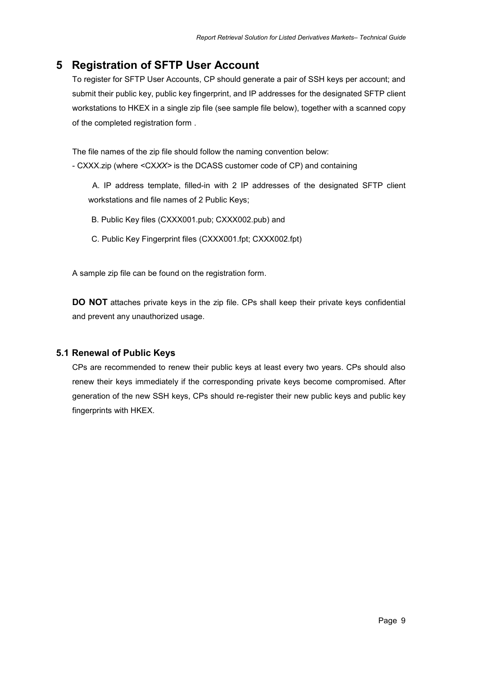# <span id="page-8-0"></span>**5 Registration of SFTP User Account**

To register for SFTP User Accounts, CP should generate a pair of SSH keys per account; and submit their public key, public key fingerprint, and IP addresses for the designated SFTP client workstations to HKEX in a single zip file (see sample file below), together with a scanned copy of the completed registration form .

The file names of the zip file should follow the naming convention below: - CXXX.zip (where <CX*XX>* is the DCASS customer code of CP) and containing

A. IP address template, filled-in with 2 IP addresses of the designated SFTP client workstations and file names of 2 Public Keys;

B. Public Key files (CXXX001.pub; CXXX002.pub) and

C. Public Key Fingerprint files (CXXX001.fpt; CXXX002.fpt)

A sample zip file can be found on the registration form.

**DO NOT** attaches private keys in the zip file. CPs shall keep their private keys confidential and prevent any unauthorized usage.

#### <span id="page-8-1"></span>**5.1 Renewal of Public Keys**

CPs are recommended to renew their public keys at least every two years. CPs should also renew their keys immediately if the corresponding private keys become compromised. After generation of the new SSH keys, CPs should re-register their new public keys and public key fingerprints with HKEX.